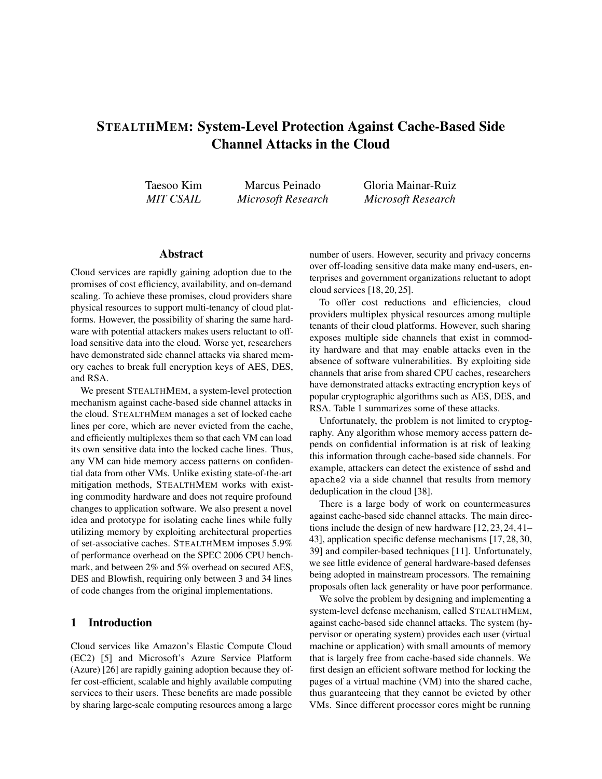# STEALTHMEM: System-Level Protection Against Cache-Based Side Channel Attacks in the Cloud

Taesoo Kim *MIT CSAIL*

Marcus Peinado *Microsoft Research* Gloria Mainar-Ruiz *Microsoft Research*

## Abstract

Cloud services are rapidly gaining adoption due to the promises of cost efficiency, availability, and on-demand scaling. To achieve these promises, cloud providers share physical resources to support multi-tenancy of cloud platforms. However, the possibility of sharing the same hardware with potential attackers makes users reluctant to offload sensitive data into the cloud. Worse yet, researchers have demonstrated side channel attacks via shared memory caches to break full encryption keys of AES, DES, and RSA.

We present STEALTHMEM, a system-level protection mechanism against cache-based side channel attacks in the cloud. STEALTHMEM manages a set of locked cache lines per core, which are never evicted from the cache, and efficiently multiplexes them so that each VM can load its own sensitive data into the locked cache lines. Thus, any VM can hide memory access patterns on confidential data from other VMs. Unlike existing state-of-the-art mitigation methods, STEALTHMEM works with existing commodity hardware and does not require profound changes to application software. We also present a novel idea and prototype for isolating cache lines while fully utilizing memory by exploiting architectural properties of set-associative caches. STEALTHMEM imposes 5.9% of performance overhead on the SPEC 2006 CPU benchmark, and between 2% and 5% overhead on secured AES, DES and Blowfish, requiring only between 3 and 34 lines of code changes from the original implementations.

### 1 Introduction

Cloud services like Amazon's Elastic Compute Cloud (EC2) [5] and Microsoft's Azure Service Platform (Azure) [26] are rapidly gaining adoption because they offer cost-efficient, scalable and highly available computing services to their users. These benefits are made possible by sharing large-scale computing resources among a large

number of users. However, security and privacy concerns over off-loading sensitive data make many end-users, enterprises and government organizations reluctant to adopt cloud services [18, 20, 25].

To offer cost reductions and efficiencies, cloud providers multiplex physical resources among multiple tenants of their cloud platforms. However, such sharing exposes multiple side channels that exist in commodity hardware and that may enable attacks even in the absence of software vulnerabilities. By exploiting side channels that arise from shared CPU caches, researchers have demonstrated attacks extracting encryption keys of popular cryptographic algorithms such as AES, DES, and RSA. Table 1 summarizes some of these attacks.

Unfortunately, the problem is not limited to cryptography. Any algorithm whose memory access pattern depends on confidential information is at risk of leaking this information through cache-based side channels. For example, attackers can detect the existence of sshd and apache2 via a side channel that results from memory deduplication in the cloud [38].

There is a large body of work on countermeasures against cache-based side channel attacks. The main directions include the design of new hardware [12, 23, 24, 41– 43], application specific defense mechanisms [17, 28, 30, 39] and compiler-based techniques [11]. Unfortunately, we see little evidence of general hardware-based defenses being adopted in mainstream processors. The remaining proposals often lack generality or have poor performance.

We solve the problem by designing and implementing a system-level defense mechanism, called STEALTHMEM, against cache-based side channel attacks. The system (hypervisor or operating system) provides each user (virtual machine or application) with small amounts of memory that is largely free from cache-based side channels. We first design an efficient software method for locking the pages of a virtual machine (VM) into the shared cache, thus guaranteeing that they cannot be evicted by other VMs. Since different processor cores might be running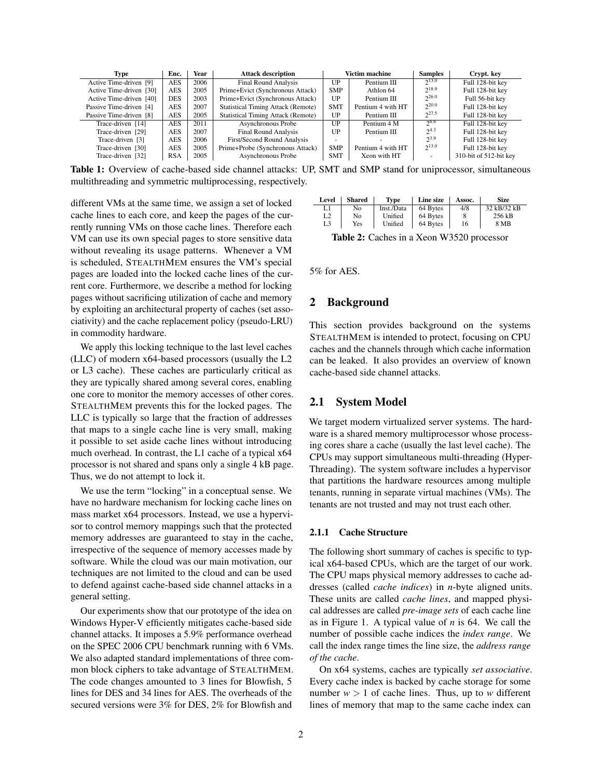| Type                    | Enc.       | Year | <b>Attack description</b>                 |            | Victim machine    |                          |                        |  | Crypt. key |
|-------------------------|------------|------|-------------------------------------------|------------|-------------------|--------------------------|------------------------|--|------------|
| Active Time-driven [9]  | <b>AES</b> | 2006 | <b>Final Round Analysis</b>               | UP         | Pentium III       | 213.0                    | Full 128-bit key       |  |            |
| Active Time-driven [30] | <b>AES</b> | 2005 | Prime+Evict (Synchronous Attack)          | <b>SMP</b> | Athlon 64         | $2^{18.9}$               | Full 128-bit key       |  |            |
| Active Time-driven [40] | <b>DES</b> | 2003 | Prime+Evict (Synchronous Attack)          | UP         | Pentium III       | $2^{26.0}$               | Full 56-bit key        |  |            |
| Passive Time-driven [4] | AES        | 2007 | <b>Statistical Timing Attack (Remote)</b> | <b>SMT</b> | Pentium 4 with HT | $2^{20.0}$               | Full 128-bit kev       |  |            |
| Passive Time-driven [8] | <b>AES</b> | 2005 | <b>Statistical Timing Attack (Remote)</b> | UP         | Pentium III       | $2^{27.5}$               | Full 128-bit key       |  |            |
| Trace-driven [14]       | <b>AES</b> | 2011 | Asynchronous Probe                        | UP         | Pentium 4 M       | $2^{6.6}$                | Full 128-bit key       |  |            |
| Trace-driven [29]       | AES        | 2007 | <b>Final Round Analysis</b>               | UP         | Pentium III       | $2^{4.3}$                | Full 128-bit key       |  |            |
| Trace-driven [3]        | <b>AES</b> | 2006 | First/Second Round Analysis               | -          |                   | $2^{3.9}$                | Full 128-bit key       |  |            |
| Trace-driven [30]       | <b>AES</b> | 2005 | Prime+Probe (Synchronous Attack)          | <b>SMP</b> | Pentium 4 with HT | $2^{13.0}$               | Full 128-bit key       |  |            |
| Trace-driven [32]       | <b>RSA</b> | 2005 | Asynchronous Probe                        | <b>SMT</b> | Xeon with HT      | $\overline{\phantom{a}}$ | 310-bit of 512-bit key |  |            |

Table 1: Overview of cache-based side channel attacks: UP, SMT and SMP stand for uniprocessor, simultaneous multithreading and symmetric multiprocessing, respectively.

different VMs at the same time, we assign a set of locked cache lines to each core, and keep the pages of the currently running VMs on those cache lines. Therefore each VM can use its own special pages to store sensitive data without revealing its usage patterns. Whenever a VM is scheduled, STEALTHMEM ensures the VM's special pages are loaded into the locked cache lines of the current core. Furthermore, we describe a method for locking pages without sacrificing utilization of cache and memory by exploiting an architectural property of caches (set associativity) and the cache replacement policy (pseudo-LRU) in commodity hardware.

We apply this locking technique to the last level caches (LLC) of modern x64-based processors (usually the L2 or L3 cache). These caches are particularly critical as they are typically shared among several cores, enabling one core to monitor the memory accesses of other cores. STEALTHMEM prevents this for the locked pages. The LLC is typically so large that the fraction of addresses that maps to a single cache line is very small, making it possible to set aside cache lines without introducing much overhead. In contrast, the L1 cache of a typical x64 processor is not shared and spans only a single 4 kB page. Thus, we do not attempt to lock it.

We use the term "locking" in a conceptual sense. We have no hardware mechanism for locking cache lines on mass market x64 processors. Instead, we use a hypervisor to control memory mappings such that the protected memory addresses are guaranteed to stay in the cache, irrespective of the sequence of memory accesses made by software. While the cloud was our main motivation, our techniques are not limited to the cloud and can be used to defend against cache-based side channel attacks in a general setting.

Our experiments show that our prototype of the idea on Windows Hyper-V efficiently mitigates cache-based side channel attacks. It imposes a 5.9% performance overhead on the SPEC 2006 CPU benchmark running with 6 VMs. We also adapted standard implementations of three common block ciphers to take advantage of STEALTHMEM. The code changes amounted to 3 lines for Blowfish, 5 lines for DES and 34 lines for AES. The overheads of the secured versions were 3% for DES, 2% for Blowfish and

| Level | <b>Shared</b> | Type       | Line size | Assoc. | <b>Size</b> |
|-------|---------------|------------|-----------|--------|-------------|
|       | No            | Inst./Data | 64 Bytes  | 4/8    | 32 kB/32 kB |
| L2    | No            | Unified    | 64 Bytes  | 8      | 256 kB      |
| L3    | Yes           | Unified    | 64 Bytes  | 16     | 8 MB        |

Table 2: Caches in a Xeon W3520 processor

5% for AES.

# 2 Background

This section provides background on the systems STEALTHMEM is intended to protect, focusing on CPU caches and the channels through which cache information can be leaked. It also provides an overview of known cache-based side channel attacks.

### 2.1 System Model

We target modern virtualized server systems. The hardware is a shared memory multiprocessor whose processing cores share a cache (usually the last level cache). The CPUs may support simultaneous multi-threading (Hyper-Threading). The system software includes a hypervisor that partitions the hardware resources among multiple tenants, running in separate virtual machines (VMs). The tenants are not trusted and may not trust each other.

#### 2.1.1 Cache Structure

The following short summary of caches is specific to typical x64-based CPUs, which are the target of our work. The CPU maps physical memory addresses to cache addresses (called *cache indices*) in *n*-byte aligned units. These units are called *cache lines*, and mapped physical addresses are called *pre-image sets* of each cache line as in Figure 1. A typical value of *n* is 64. We call the number of possible cache indices the *index range*. We call the index range times the line size, the *address range of the cache*.

On x64 systems, caches are typically *set associative*. Every cache index is backed by cache storage for some number  $w > 1$  of cache lines. Thus, up to *w* different lines of memory that map to the same cache index can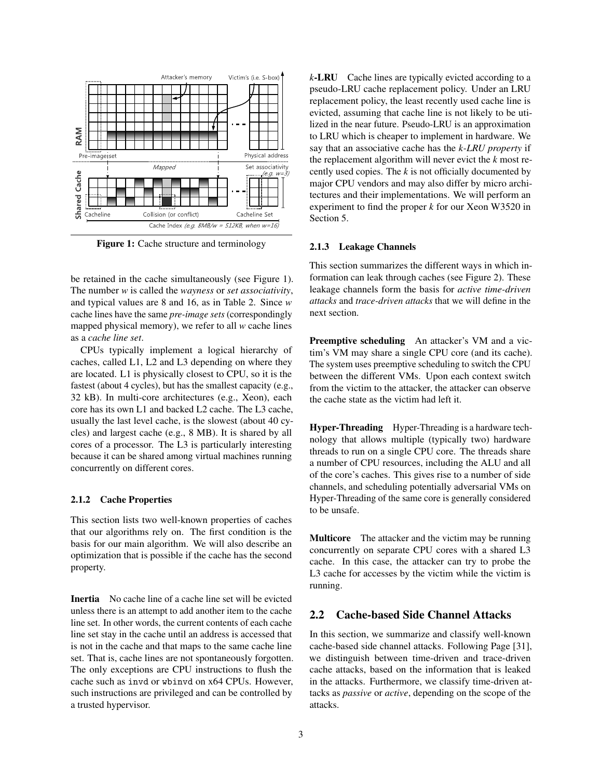

Figure 1: Cache structure and terminology

be retained in the cache simultaneously (see Figure 1). The number *w* is called the *wayness* or *set associativity*, and typical values are 8 and 16, as in Table 2. Since *w* cache lines have the same *pre-image sets* (correspondingly mapped physical memory), we refer to all *w* cache lines as a *cache line set*.

CPUs typically implement a logical hierarchy of caches, called L1, L2 and L3 depending on where they are located. L1 is physically closest to CPU, so it is the fastest (about 4 cycles), but has the smallest capacity (e.g., 32 kB). In multi-core architectures (e.g., Xeon), each core has its own L1 and backed L2 cache. The L3 cache, usually the last level cache, is the slowest (about 40 cycles) and largest cache (e.g., 8 MB). It is shared by all cores of a processor. The L3 is particularly interesting because it can be shared among virtual machines running concurrently on different cores.

#### 2.1.2 Cache Properties

This section lists two well-known properties of caches that our algorithms rely on. The first condition is the basis for our main algorithm. We will also describe an optimization that is possible if the cache has the second property.

Inertia No cache line of a cache line set will be evicted unless there is an attempt to add another item to the cache line set. In other words, the current contents of each cache line set stay in the cache until an address is accessed that is not in the cache and that maps to the same cache line set. That is, cache lines are not spontaneously forgotten. The only exceptions are CPU instructions to flush the cache such as invd or wbinvd on x64 CPUs. However, such instructions are privileged and can be controlled by a trusted hypervisor.

*k*-LRU Cache lines are typically evicted according to a pseudo-LRU cache replacement policy. Under an LRU replacement policy, the least recently used cache line is evicted, assuming that cache line is not likely to be utilized in the near future. Pseudo-LRU is an approximation to LRU which is cheaper to implement in hardware. We say that an associative cache has the *k-LRU property* if the replacement algorithm will never evict the *k* most recently used copies. The *k* is not officially documented by major CPU vendors and may also differ by micro architectures and their implementations. We will perform an experiment to find the proper *k* for our Xeon W3520 in Section 5.

#### 2.1.3 Leakage Channels

This section summarizes the different ways in which information can leak through caches (see Figure 2). These leakage channels form the basis for *active time-driven attacks* and *trace-driven attacks* that we will define in the next section.

Preemptive scheduling An attacker's VM and a victim's VM may share a single CPU core (and its cache). The system uses preemptive scheduling to switch the CPU between the different VMs. Upon each context switch from the victim to the attacker, the attacker can observe the cache state as the victim had left it.

Hyper-Threading Hyper-Threading is a hardware technology that allows multiple (typically two) hardware threads to run on a single CPU core. The threads share a number of CPU resources, including the ALU and all of the core's caches. This gives rise to a number of side channels, and scheduling potentially adversarial VMs on Hyper-Threading of the same core is generally considered to be unsafe.

Multicore The attacker and the victim may be running concurrently on separate CPU cores with a shared L3 cache. In this case, the attacker can try to probe the L3 cache for accesses by the victim while the victim is running.

### 2.2 Cache-based Side Channel Attacks

In this section, we summarize and classify well-known cache-based side channel attacks. Following Page [31], we distinguish between time-driven and trace-driven cache attacks, based on the information that is leaked in the attacks. Furthermore, we classify time-driven attacks as *passive* or *active*, depending on the scope of the attacks.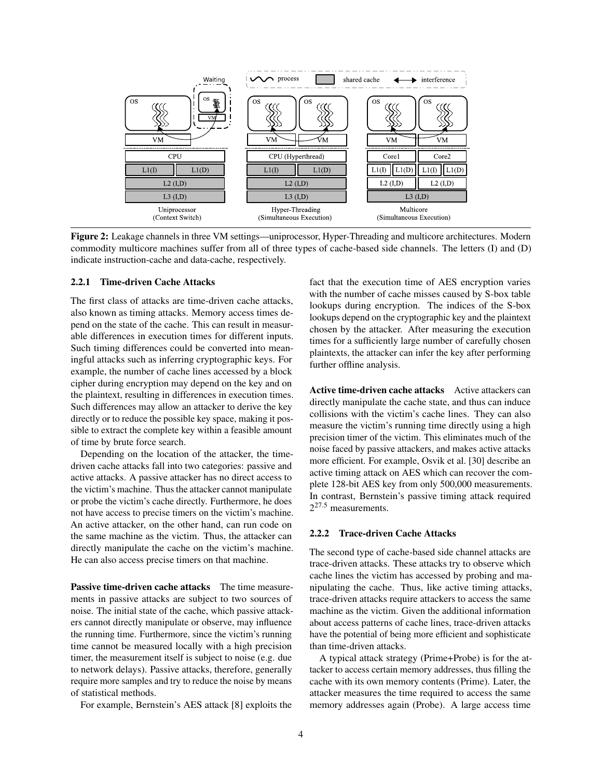

Figure 2: Leakage channels in three VM settings—uniprocessor, Hyper-Threading and multicore architectures. Modern commodity multicore machines suffer from all of three types of cache-based side channels. The letters (I) and (D) indicate instruction-cache and data-cache, respectively.

### 2.2.1 Time-driven Cache Attacks

The first class of attacks are time-driven cache attacks, also known as timing attacks. Memory access times depend on the state of the cache. This can result in measurable differences in execution times for different inputs. Such timing differences could be converted into meaningful attacks such as inferring cryptographic keys. For example, the number of cache lines accessed by a block cipher during encryption may depend on the key and on the plaintext, resulting in differences in execution times. Such differences may allow an attacker to derive the key directly or to reduce the possible key space, making it possible to extract the complete key within a feasible amount of time by brute force search.

Depending on the location of the attacker, the timedriven cache attacks fall into two categories: passive and active attacks. A passive attacker has no direct access to the victim's machine. Thus the attacker cannot manipulate or probe the victim's cache directly. Furthermore, he does not have access to precise timers on the victim's machine. An active attacker, on the other hand, can run code on the same machine as the victim. Thus, the attacker can directly manipulate the cache on the victim's machine. He can also access precise timers on that machine.

Passive time-driven cache attacks The time measurements in passive attacks are subject to two sources of noise. The initial state of the cache, which passive attackers cannot directly manipulate or observe, may influence the running time. Furthermore, since the victim's running time cannot be measured locally with a high precision timer, the measurement itself is subject to noise (e.g. due to network delays). Passive attacks, therefore, generally require more samples and try to reduce the noise by means of statistical methods.

For example, Bernstein's AES attack [8] exploits the

fact that the execution time of AES encryption varies with the number of cache misses caused by S-box table lookups during encryption. The indices of the S-box lookups depend on the cryptographic key and the plaintext chosen by the attacker. After measuring the execution times for a sufficiently large number of carefully chosen plaintexts, the attacker can infer the key after performing further offline analysis.

Active time-driven cache attacks Active attackers can directly manipulate the cache state, and thus can induce collisions with the victim's cache lines. They can also measure the victim's running time directly using a high precision timer of the victim. This eliminates much of the noise faced by passive attackers, and makes active attacks more efficient. For example, Osvik et al. [30] describe an active timing attack on AES which can recover the complete 128-bit AES key from only 500,000 measurements. In contrast, Bernstein's passive timing attack required  $2^{27.5}$  measurements.

#### 2.2.2 Trace-driven Cache Attacks

The second type of cache-based side channel attacks are trace-driven attacks. These attacks try to observe which cache lines the victim has accessed by probing and manipulating the cache. Thus, like active timing attacks, trace-driven attacks require attackers to access the same machine as the victim. Given the additional information about access patterns of cache lines, trace-driven attacks have the potential of being more efficient and sophisticate than time-driven attacks.

A typical attack strategy (Prime+Probe) is for the attacker to access certain memory addresses, thus filling the cache with its own memory contents (Prime). Later, the attacker measures the time required to access the same memory addresses again (Probe). A large access time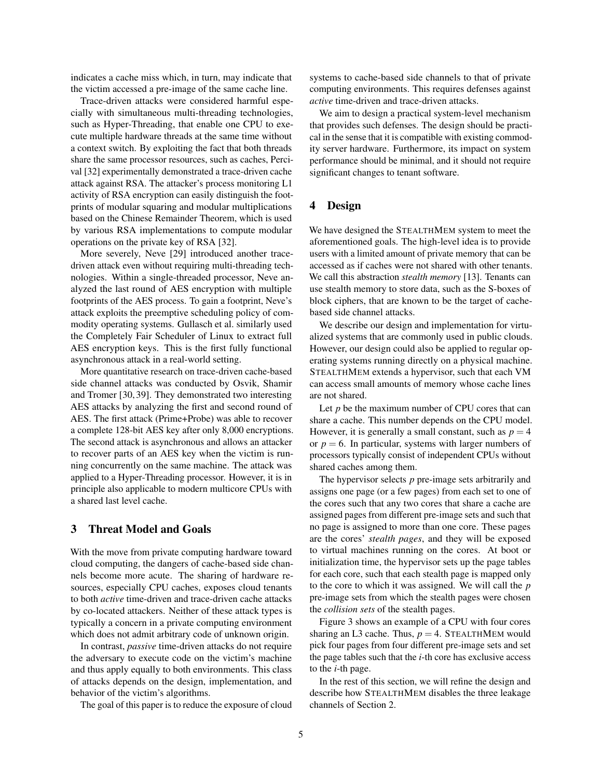indicates a cache miss which, in turn, may indicate that the victim accessed a pre-image of the same cache line.

Trace-driven attacks were considered harmful especially with simultaneous multi-threading technologies, such as Hyper-Threading, that enable one CPU to execute multiple hardware threads at the same time without a context switch. By exploiting the fact that both threads share the same processor resources, such as caches, Percival [32] experimentally demonstrated a trace-driven cache attack against RSA. The attacker's process monitoring L1 activity of RSA encryption can easily distinguish the footprints of modular squaring and modular multiplications based on the Chinese Remainder Theorem, which is used by various RSA implementations to compute modular operations on the private key of RSA [32].

More severely, Neve [29] introduced another tracedriven attack even without requiring multi-threading technologies. Within a single-threaded processor, Neve analyzed the last round of AES encryption with multiple footprints of the AES process. To gain a footprint, Neve's attack exploits the preemptive scheduling policy of commodity operating systems. Gullasch et al. similarly used the Completely Fair Scheduler of Linux to extract full AES encryption keys. This is the first fully functional asynchronous attack in a real-world setting.

More quantitative research on trace-driven cache-based side channel attacks was conducted by Osvik, Shamir and Tromer [30, 39]. They demonstrated two interesting AES attacks by analyzing the first and second round of AES. The first attack (Prime+Probe) was able to recover a complete 128-bit AES key after only 8,000 encryptions. The second attack is asynchronous and allows an attacker to recover parts of an AES key when the victim is running concurrently on the same machine. The attack was applied to a Hyper-Threading processor. However, it is in principle also applicable to modern multicore CPUs with a shared last level cache.

### 3 Threat Model and Goals

With the move from private computing hardware toward cloud computing, the dangers of cache-based side channels become more acute. The sharing of hardware resources, especially CPU caches, exposes cloud tenants to both *active* time-driven and trace-driven cache attacks by co-located attackers. Neither of these attack types is typically a concern in a private computing environment which does not admit arbitrary code of unknown origin.

In contrast, *passive* time-driven attacks do not require the adversary to execute code on the victim's machine and thus apply equally to both environments. This class of attacks depends on the design, implementation, and behavior of the victim's algorithms.

The goal of this paper is to reduce the exposure of cloud

systems to cache-based side channels to that of private computing environments. This requires defenses against *active* time-driven and trace-driven attacks.

We aim to design a practical system-level mechanism that provides such defenses. The design should be practical in the sense that it is compatible with existing commodity server hardware. Furthermore, its impact on system performance should be minimal, and it should not require significant changes to tenant software.

### 4 Design

We have designed the STEALTHMEM system to meet the aforementioned goals. The high-level idea is to provide users with a limited amount of private memory that can be accessed as if caches were not shared with other tenants. We call this abstraction *stealth memory* [13]. Tenants can use stealth memory to store data, such as the S-boxes of block ciphers, that are known to be the target of cachebased side channel attacks.

We describe our design and implementation for virtualized systems that are commonly used in public clouds. However, our design could also be applied to regular operating systems running directly on a physical machine. STEALTHMEM extends a hypervisor, such that each VM can access small amounts of memory whose cache lines are not shared.

Let *p* be the maximum number of CPU cores that can share a cache. This number depends on the CPU model. However, it is generally a small constant, such as  $p = 4$ or  $p = 6$ . In particular, systems with larger numbers of processors typically consist of independent CPUs without shared caches among them.

The hypervisor selects *p* pre-image sets arbitrarily and assigns one page (or a few pages) from each set to one of the cores such that any two cores that share a cache are assigned pages from different pre-image sets and such that no page is assigned to more than one core. These pages are the cores' *stealth pages*, and they will be exposed to virtual machines running on the cores. At boot or initialization time, the hypervisor sets up the page tables for each core, such that each stealth page is mapped only to the core to which it was assigned. We will call the *p* pre-image sets from which the stealth pages were chosen the *collision sets* of the stealth pages.

Figure 3 shows an example of a CPU with four cores sharing an L3 cache. Thus,  $p = 4$ . STEALTHMEM would pick four pages from four different pre-image sets and set the page tables such that the *i*-th core has exclusive access to the *i*-th page.

In the rest of this section, we will refine the design and describe how STEALTHMEM disables the three leakage channels of Section 2.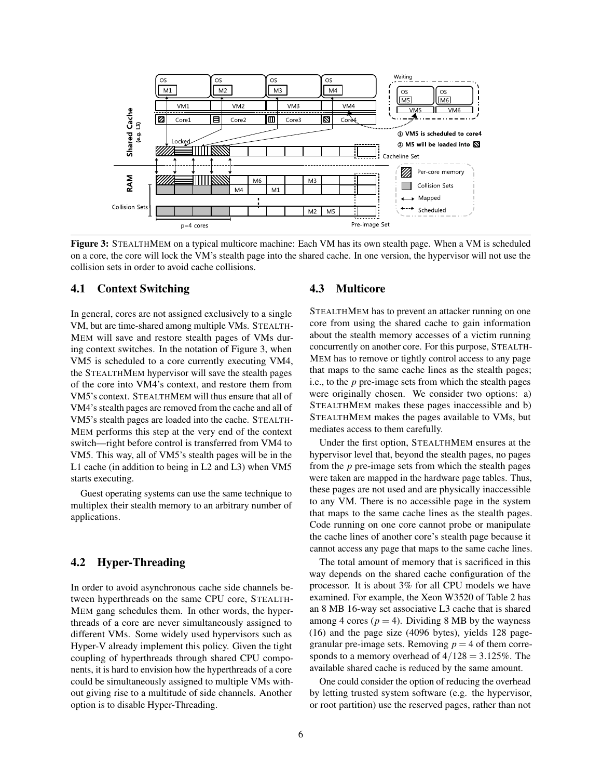

Figure 3: STEALTHMEM on a typical multicore machine: Each VM has its own stealth page. When a VM is scheduled on a core, the core will lock the VM's stealth page into the shared cache. In one version, the hypervisor will not use the collision sets in order to avoid cache collisions.

#### 4.1 Context Switching

In general, cores are not assigned exclusively to a single VM, but are time-shared among multiple VMs. STEALTH-MEM will save and restore stealth pages of VMs during context switches. In the notation of Figure 3, when VM5 is scheduled to a core currently executing VM4, the STEALTHMEM hypervisor will save the stealth pages of the core into VM4's context, and restore them from VM5's context. STEALTHMEM will thus ensure that all of VM4's stealth pages are removed from the cache and all of VM5's stealth pages are loaded into the cache. STEALTH-MEM performs this step at the very end of the context switch—right before control is transferred from VM4 to VM5. This way, all of VM5's stealth pages will be in the L1 cache (in addition to being in L2 and L3) when VM5 starts executing.

Guest operating systems can use the same technique to multiplex their stealth memory to an arbitrary number of applications.

### 4.2 Hyper-Threading

In order to avoid asynchronous cache side channels between hyperthreads on the same CPU core, STEALTH-MEM gang schedules them. In other words, the hyperthreads of a core are never simultaneously assigned to different VMs. Some widely used hypervisors such as Hyper-V already implement this policy. Given the tight coupling of hyperthreads through shared CPU components, it is hard to envision how the hyperthreads of a core could be simultaneously assigned to multiple VMs without giving rise to a multitude of side channels. Another option is to disable Hyper-Threading.

#### 4.3 Multicore

STEALTHMEM has to prevent an attacker running on one core from using the shared cache to gain information about the stealth memory accesses of a victim running concurrently on another core. For this purpose, STEALTH-MEM has to remove or tightly control access to any page that maps to the same cache lines as the stealth pages; i.e., to the *p* pre-image sets from which the stealth pages were originally chosen. We consider two options: a) STEALTHMEM makes these pages inaccessible and b) STEALTHMEM makes the pages available to VMs, but mediates access to them carefully.

Under the first option, STEALTHMEM ensures at the hypervisor level that, beyond the stealth pages, no pages from the *p* pre-image sets from which the stealth pages were taken are mapped in the hardware page tables. Thus, these pages are not used and are physically inaccessible to any VM. There is no accessible page in the system that maps to the same cache lines as the stealth pages. Code running on one core cannot probe or manipulate the cache lines of another core's stealth page because it cannot access any page that maps to the same cache lines.

The total amount of memory that is sacrificed in this way depends on the shared cache configuration of the processor. It is about 3% for all CPU models we have examined. For example, the Xeon W3520 of Table 2 has an 8 MB 16-way set associative L3 cache that is shared among 4 cores ( $p = 4$ ). Dividing 8 MB by the wayness (16) and the page size (4096 bytes), yields 128 pagegranular pre-image sets. Removing  $p = 4$  of them corresponds to a memory overhead of  $4/128 = 3.125\%$ . The available shared cache is reduced by the same amount.

One could consider the option of reducing the overhead by letting trusted system software (e.g. the hypervisor, or root partition) use the reserved pages, rather than not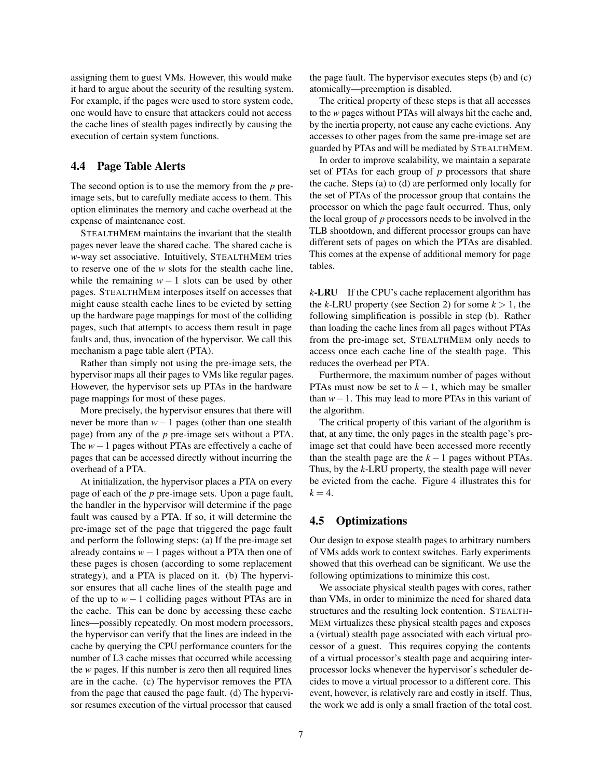assigning them to guest VMs. However, this would make it hard to argue about the security of the resulting system. For example, if the pages were used to store system code, one would have to ensure that attackers could not access the cache lines of stealth pages indirectly by causing the execution of certain system functions.

### 4.4 Page Table Alerts

The second option is to use the memory from the *p* preimage sets, but to carefully mediate access to them. This option eliminates the memory and cache overhead at the expense of maintenance cost.

STEALTHMEM maintains the invariant that the stealth pages never leave the shared cache. The shared cache is *w*-way set associative. Intuitively, STEALTHMEM tries to reserve one of the *w* slots for the stealth cache line, while the remaining  $w - 1$  slots can be used by other pages. STEALTHMEM interposes itself on accesses that might cause stealth cache lines to be evicted by setting up the hardware page mappings for most of the colliding pages, such that attempts to access them result in page faults and, thus, invocation of the hypervisor. We call this mechanism a page table alert (PTA).

Rather than simply not using the pre-image sets, the hypervisor maps all their pages to VMs like regular pages. However, the hypervisor sets up PTAs in the hardware page mappings for most of these pages.

More precisely, the hypervisor ensures that there will never be more than *w*−1 pages (other than one stealth page) from any of the *p* pre-image sets without a PTA. The *w*−1 pages without PTAs are effectively a cache of pages that can be accessed directly without incurring the overhead of a PTA.

At initialization, the hypervisor places a PTA on every page of each of the *p* pre-image sets. Upon a page fault, the handler in the hypervisor will determine if the page fault was caused by a PTA. If so, it will determine the pre-image set of the page that triggered the page fault and perform the following steps: (a) If the pre-image set already contains *w*−1 pages without a PTA then one of these pages is chosen (according to some replacement strategy), and a PTA is placed on it. (b) The hypervisor ensures that all cache lines of the stealth page and of the up to  $w - 1$  colliding pages without PTAs are in the cache. This can be done by accessing these cache lines—possibly repeatedly. On most modern processors, the hypervisor can verify that the lines are indeed in the cache by querying the CPU performance counters for the number of L3 cache misses that occurred while accessing the *w* pages. If this number is zero then all required lines are in the cache. (c) The hypervisor removes the PTA from the page that caused the page fault. (d) The hypervisor resumes execution of the virtual processor that caused

the page fault. The hypervisor executes steps (b) and (c) atomically—preemption is disabled.

The critical property of these steps is that all accesses to the *w* pages without PTAs will always hit the cache and, by the inertia property, not cause any cache evictions. Any accesses to other pages from the same pre-image set are guarded by PTAs and will be mediated by STEALTHMEM.

In order to improve scalability, we maintain a separate set of PTAs for each group of *p* processors that share the cache. Steps (a) to (d) are performed only locally for the set of PTAs of the processor group that contains the processor on which the page fault occurred. Thus, only the local group of *p* processors needs to be involved in the TLB shootdown, and different processor groups can have different sets of pages on which the PTAs are disabled. This comes at the expense of additional memory for page tables.

*k*-LRU If the CPU's cache replacement algorithm has the *k*-LRU property (see Section 2) for some  $k > 1$ , the following simplification is possible in step (b). Rather than loading the cache lines from all pages without PTAs from the pre-image set, STEALTHMEM only needs to access once each cache line of the stealth page. This reduces the overhead per PTA.

Furthermore, the maximum number of pages without PTAs must now be set to  $k - 1$ , which may be smaller than *w*−1. This may lead to more PTAs in this variant of the algorithm.

The critical property of this variant of the algorithm is that, at any time, the only pages in the stealth page's preimage set that could have been accessed more recently than the stealth page are the  $k - 1$  pages without PTAs. Thus, by the *k*-LRU property, the stealth page will never be evicted from the cache. Figure 4 illustrates this for  $k = 4$ .

### 4.5 Optimizations

Our design to expose stealth pages to arbitrary numbers of VMs adds work to context switches. Early experiments showed that this overhead can be significant. We use the following optimizations to minimize this cost.

We associate physical stealth pages with cores, rather than VMs, in order to minimize the need for shared data structures and the resulting lock contention. STEALTH-MEM virtualizes these physical stealth pages and exposes a (virtual) stealth page associated with each virtual processor of a guest. This requires copying the contents of a virtual processor's stealth page and acquiring interprocessor locks whenever the hypervisor's scheduler decides to move a virtual processor to a different core. This event, however, is relatively rare and costly in itself. Thus, the work we add is only a small fraction of the total cost.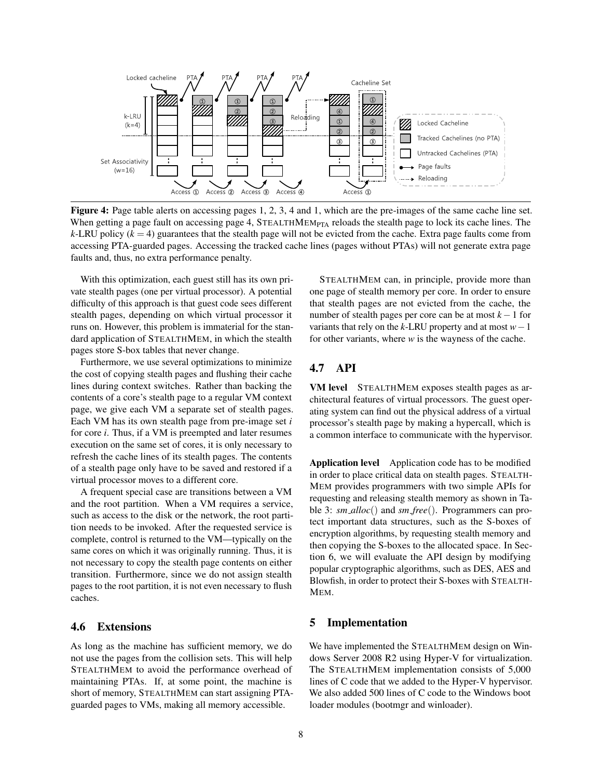

Figure 4: Page table alerts on accessing pages 1, 2, 3, 4 and 1, which are the pre-images of the same cache line set. When getting a page fault on accessing page 4,  $STEALTHMEM_{PTA}$  reloads the stealth page to lock its cache lines. The  $k$ -LRU policy ( $k = 4$ ) guarantees that the stealth page will not be evicted from the cache. Extra page faults come from accessing PTA-guarded pages. Accessing the tracked cache lines (pages without PTAs) will not generate extra page faults and, thus, no extra performance penalty.

With this optimization, each guest still has its own private stealth pages (one per virtual processor). A potential difficulty of this approach is that guest code sees different stealth pages, depending on which virtual processor it runs on. However, this problem is immaterial for the standard application of STEALTHMEM, in which the stealth pages store S-box tables that never change.

Furthermore, we use several optimizations to minimize the cost of copying stealth pages and flushing their cache lines during context switches. Rather than backing the contents of a core's stealth page to a regular VM context page, we give each VM a separate set of stealth pages. Each VM has its own stealth page from pre-image set *i* for core *i*. Thus, if a VM is preempted and later resumes execution on the same set of cores, it is only necessary to refresh the cache lines of its stealth pages. The contents of a stealth page only have to be saved and restored if a virtual processor moves to a different core.

A frequent special case are transitions between a VM and the root partition. When a VM requires a service, such as access to the disk or the network, the root partition needs to be invoked. After the requested service is complete, control is returned to the VM—typically on the same cores on which it was originally running. Thus, it is not necessary to copy the stealth page contents on either transition. Furthermore, since we do not assign stealth pages to the root partition, it is not even necessary to flush caches.

# 4.6 Extensions

As long as the machine has sufficient memory, we do not use the pages from the collision sets. This will help STEALTHMEM to avoid the performance overhead of maintaining PTAs. If, at some point, the machine is short of memory, STEALTHMEM can start assigning PTAguarded pages to VMs, making all memory accessible.

STEALTHMEM can, in principle, provide more than one page of stealth memory per core. In order to ensure that stealth pages are not evicted from the cache, the number of stealth pages per core can be at most *k* −1 for variants that rely on the *k*-LRU property and at most *w*−1 for other variants, where *w* is the wayness of the cache.

# 4.7 API

VM level STEALTHMEM exposes stealth pages as architectural features of virtual processors. The guest operating system can find out the physical address of a virtual processor's stealth page by making a hypercall, which is a common interface to communicate with the hypervisor.

Application level Application code has to be modified in order to place critical data on stealth pages. STEALTH-MEM provides programmers with two simple APIs for requesting and releasing stealth memory as shown in Table 3: *sm alloc*() and *sm free*(). Programmers can protect important data structures, such as the S-boxes of encryption algorithms, by requesting stealth memory and then copying the S-boxes to the allocated space. In Section 6, we will evaluate the API design by modifying popular cryptographic algorithms, such as DES, AES and Blowfish, in order to protect their S-boxes with STEALTH-MEM.

### 5 Implementation

We have implemented the STEALTHMEM design on Windows Server 2008 R2 using Hyper-V for virtualization. The STEALTHMEM implementation consists of 5,000 lines of C code that we added to the Hyper-V hypervisor. We also added 500 lines of C code to the Windows boot loader modules (bootmgr and winloader).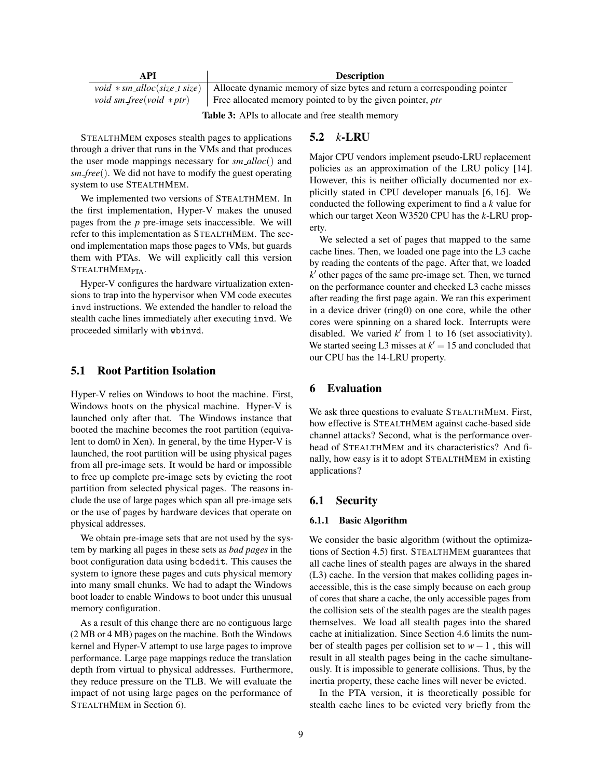| API                     | <b>Description</b>                                                                                             |
|-------------------------|----------------------------------------------------------------------------------------------------------------|
|                         | <i>void</i> * sm_alloc(size_t size)   Allocate dynamic memory of size bytes and return a corresponding pointer |
| void sm_free(void *ptr) | Free allocated memory pointed to by the given pointer, $ptr$                                                   |

Table 3: APIs to allocate and free stealth memory

STEALTHMEM exposes stealth pages to applications through a driver that runs in the VMs and that produces the user mode mappings necessary for *sm alloc*() and *sm free*(). We did not have to modify the guest operating system to use STEALTHMEM.

We implemented two versions of STEALTHMEM. In the first implementation, Hyper-V makes the unused pages from the *p* pre-image sets inaccessible. We will refer to this implementation as STEALTHMEM. The second implementation maps those pages to VMs, but guards them with PTAs. We will explicitly call this version STEALTHMEM<sub>PTA</sub>.

Hyper-V configures the hardware virtualization extensions to trap into the hypervisor when VM code executes invd instructions. We extended the handler to reload the stealth cache lines immediately after executing invd. We proceeded similarly with wbinvd.

### 5.1 Root Partition Isolation

Hyper-V relies on Windows to boot the machine. First, Windows boots on the physical machine. Hyper-V is launched only after that. The Windows instance that booted the machine becomes the root partition (equivalent to dom0 in Xen). In general, by the time Hyper-V is launched, the root partition will be using physical pages from all pre-image sets. It would be hard or impossible to free up complete pre-image sets by evicting the root partition from selected physical pages. The reasons include the use of large pages which span all pre-image sets or the use of pages by hardware devices that operate on physical addresses.

We obtain pre-image sets that are not used by the system by marking all pages in these sets as *bad pages* in the boot configuration data using bcdedit. This causes the system to ignore these pages and cuts physical memory into many small chunks. We had to adapt the Windows boot loader to enable Windows to boot under this unusual memory configuration.

As a result of this change there are no contiguous large (2 MB or 4 MB) pages on the machine. Both the Windows kernel and Hyper-V attempt to use large pages to improve performance. Large page mappings reduce the translation depth from virtual to physical addresses. Furthermore, they reduce pressure on the TLB. We will evaluate the impact of not using large pages on the performance of STEALTHMEM in Section 6).

# 5.2 *k*-LRU

Major CPU vendors implement pseudo-LRU replacement policies as an approximation of the LRU policy [14]. However, this is neither officially documented nor explicitly stated in CPU developer manuals [6, 16]. We conducted the following experiment to find a *k* value for which our target Xeon W3520 CPU has the *k*-LRU property.

We selected a set of pages that mapped to the same cache lines. Then, we loaded one page into the L3 cache by reading the contents of the page. After that, we loaded *k* <sup>0</sup> other pages of the same pre-image set. Then, we turned on the performance counter and checked L3 cache misses after reading the first page again. We ran this experiment in a device driver (ring0) on one core, while the other cores were spinning on a shared lock. Interrupts were disabled. We varied  $k'$  from 1 to 16 (set associativity). We started seeing L3 misses at  $k' = 15$  and concluded that our CPU has the 14-LRU property.

### 6 Evaluation

We ask three questions to evaluate STEALTHMEM. First, how effective is STEALTHMEM against cache-based side channel attacks? Second, what is the performance overhead of STEALTHMEM and its characteristics? And finally, how easy is it to adopt STEALTHMEM in existing applications?

### 6.1 Security

#### 6.1.1 Basic Algorithm

We consider the basic algorithm (without the optimizations of Section 4.5) first. STEALTHMEM guarantees that all cache lines of stealth pages are always in the shared (L3) cache. In the version that makes colliding pages inaccessible, this is the case simply because on each group of cores that share a cache, the only accessible pages from the collision sets of the stealth pages are the stealth pages themselves. We load all stealth pages into the shared cache at initialization. Since Section 4.6 limits the number of stealth pages per collision set to *w*−1 , this will result in all stealth pages being in the cache simultaneously. It is impossible to generate collisions. Thus, by the inertia property, these cache lines will never be evicted.

In the PTA version, it is theoretically possible for stealth cache lines to be evicted very briefly from the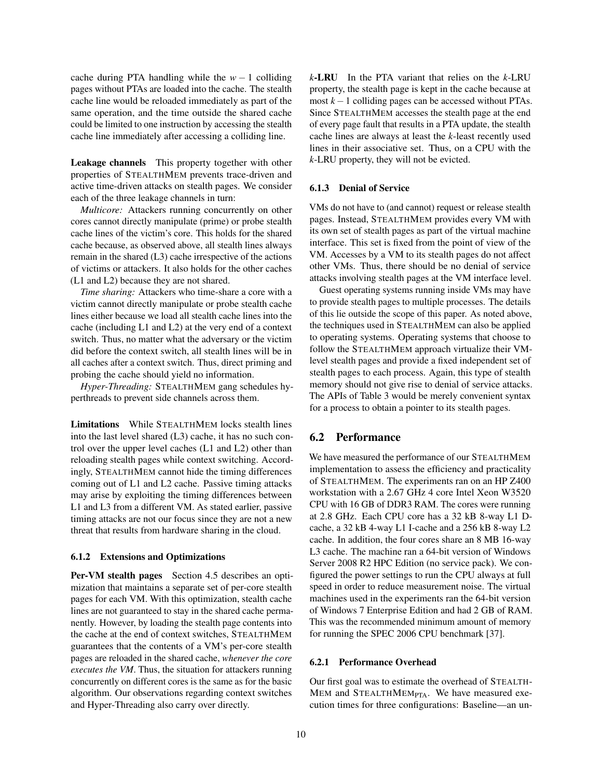cache during PTA handling while the  $w - 1$  colliding pages without PTAs are loaded into the cache. The stealth cache line would be reloaded immediately as part of the same operation, and the time outside the shared cache could be limited to one instruction by accessing the stealth cache line immediately after accessing a colliding line.

Leakage channels This property together with other properties of STEALTHMEM prevents trace-driven and active time-driven attacks on stealth pages. We consider each of the three leakage channels in turn:

*Multicore:* Attackers running concurrently on other cores cannot directly manipulate (prime) or probe stealth cache lines of the victim's core. This holds for the shared cache because, as observed above, all stealth lines always remain in the shared (L3) cache irrespective of the actions of victims or attackers. It also holds for the other caches (L1 and L2) because they are not shared.

*Time sharing:* Attackers who time-share a core with a victim cannot directly manipulate or probe stealth cache lines either because we load all stealth cache lines into the cache (including L1 and L2) at the very end of a context switch. Thus, no matter what the adversary or the victim did before the context switch, all stealth lines will be in all caches after a context switch. Thus, direct priming and probing the cache should yield no information.

*Hyper-Threading:* STEALTHMEM gang schedules hyperthreads to prevent side channels across them.

Limitations While STEALTHMEM locks stealth lines into the last level shared (L3) cache, it has no such control over the upper level caches (L1 and L2) other than reloading stealth pages while context switching. Accordingly, STEALTHMEM cannot hide the timing differences coming out of L1 and L2 cache. Passive timing attacks may arise by exploiting the timing differences between L1 and L3 from a different VM. As stated earlier, passive timing attacks are not our focus since they are not a new threat that results from hardware sharing in the cloud.

#### 6.1.2 Extensions and Optimizations

Per-VM stealth pages Section 4.5 describes an optimization that maintains a separate set of per-core stealth pages for each VM. With this optimization, stealth cache lines are not guaranteed to stay in the shared cache permanently. However, by loading the stealth page contents into the cache at the end of context switches, STEALTHMEM guarantees that the contents of a VM's per-core stealth pages are reloaded in the shared cache, *whenever the core executes the VM*. Thus, the situation for attackers running concurrently on different cores is the same as for the basic algorithm. Our observations regarding context switches and Hyper-Threading also carry over directly.

*k*-LRU In the PTA variant that relies on the *k*-LRU property, the stealth page is kept in the cache because at most *k* −1 colliding pages can be accessed without PTAs. Since STEALTHMEM accesses the stealth page at the end of every page fault that results in a PTA update, the stealth cache lines are always at least the *k*-least recently used lines in their associative set. Thus, on a CPU with the *k*-LRU property, they will not be evicted.

#### 6.1.3 Denial of Service

VMs do not have to (and cannot) request or release stealth pages. Instead, STEALTHMEM provides every VM with its own set of stealth pages as part of the virtual machine interface. This set is fixed from the point of view of the VM. Accesses by a VM to its stealth pages do not affect other VMs. Thus, there should be no denial of service attacks involving stealth pages at the VM interface level.

Guest operating systems running inside VMs may have to provide stealth pages to multiple processes. The details of this lie outside the scope of this paper. As noted above, the techniques used in STEALTHMEM can also be applied to operating systems. Operating systems that choose to follow the STEALTHMEM approach virtualize their VMlevel stealth pages and provide a fixed independent set of stealth pages to each process. Again, this type of stealth memory should not give rise to denial of service attacks. The APIs of Table 3 would be merely convenient syntax for a process to obtain a pointer to its stealth pages.

#### 6.2 Performance

We have measured the performance of our STEALTHMEM implementation to assess the efficiency and practicality of STEALTHMEM. The experiments ran on an HP Z400 workstation with a 2.67 GHz 4 core Intel Xeon W3520 CPU with 16 GB of DDR3 RAM. The cores were running at 2.8 GHz. Each CPU core has a 32 kB 8-way L1 Dcache, a 32 kB 4-way L1 I-cache and a 256 kB 8-way L2 cache. In addition, the four cores share an 8 MB 16-way L3 cache. The machine ran a 64-bit version of Windows Server 2008 R2 HPC Edition (no service pack). We configured the power settings to run the CPU always at full speed in order to reduce measurement noise. The virtual machines used in the experiments ran the 64-bit version of Windows 7 Enterprise Edition and had 2 GB of RAM. This was the recommended minimum amount of memory for running the SPEC 2006 CPU benchmark [37].

#### 6.2.1 Performance Overhead

Our first goal was to estimate the overhead of STEALTH-MEM and STEALTHMEM<sub>PTA</sub>. We have measured execution times for three configurations: Baseline—an un-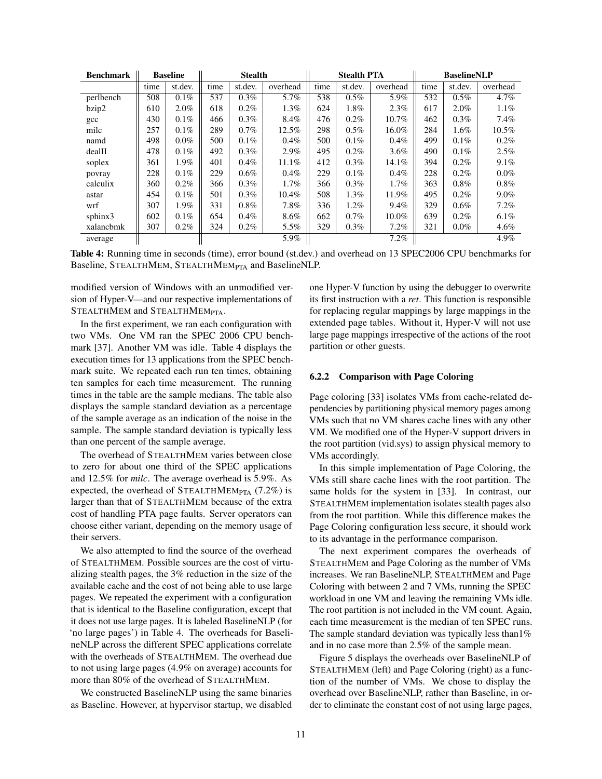| <b>Benchmark</b> | <b>Baseline</b> |         | <b>Stealth</b> |         |          | <b>Stealth PTA</b> |         |          | <b>BaselineNLP</b> |         |          |
|------------------|-----------------|---------|----------------|---------|----------|--------------------|---------|----------|--------------------|---------|----------|
|                  | time            | st.dev. | time           | st.dev. | overhead | time               | st.dev. | overhead | time               | st.dev. | overhead |
| perlbench        | 508             | $0.1\%$ | 537            | $0.3\%$ | 5.7%     | 538                | $0.5\%$ | 5.9%     | 532                | $0.5\%$ | 4.7%     |
| bzip2            | 610             | $2.0\%$ | 618            | $0.2\%$ | $1.3\%$  | 624                | 1.8%    | 2.3%     | 617                | $2.0\%$ | 1.1%     |
| $_{\rm gcc}$     | 430             | $0.1\%$ | 466            | $0.3\%$ | 8.4%     | 476                | $0.2\%$ | 10.7%    | 462                | $0.3\%$ | 7.4%     |
| milc             | 257             | $0.1\%$ | 289            | $0.7\%$ | 12.5%    | 298                | $0.5\%$ | 16.0%    | 284                | $1.6\%$ | $10.5\%$ |
| namd             | 498             | $0.0\%$ | 500            | $0.1\%$ | $0.4\%$  | 500                | $0.1\%$ | 0.4%     | 499                | $0.1\%$ | $0.2\%$  |
| dealII           | 478             | $0.1\%$ | 492            | $0.3\%$ | $2.9\%$  | 495                | $0.2\%$ | 3.6%     | 490                | $0.1\%$ | 2.5%     |
| soplex           | 361             | $1.9\%$ | 401            | $0.4\%$ | 11.1%    | 412                | $0.3\%$ | 14.1%    | 394                | $0.2\%$ | 9.1%     |
| povray           | 228             | $0.1\%$ | 229            | $0.6\%$ | $0.4\%$  | 229                | $0.1\%$ | $0.4\%$  | 228                | $0.2\%$ | $0.0\%$  |
| calculix         | 360             | $0.2\%$ | 366            | $0.3\%$ | $1.7\%$  | 366                | $0.3\%$ | $1.7\%$  | 363                | $0.8\%$ | $0.8\%$  |
| astar            | 454             | $0.1\%$ | 501            | $0.3\%$ | 10.4%    | 508                | $1.3\%$ | 11.9%    | 495                | $0.2\%$ | $9.0\%$  |
| wrf              | 307             | $1.9\%$ | 331            | $0.8\%$ | 7.8%     | 336                | 1.2%    | 9.4%     | 329                | $0.6\%$ | 7.2%     |
| sphinx3          | 602             | $0.1\%$ | 654            | $0.4\%$ | 8.6%     | 662                | $0.7\%$ | $10.0\%$ | 639                | $0.2\%$ | 6.1%     |
| xalancbmk        | 307             | $0.2\%$ | 324            | $0.2\%$ | $5.5\%$  | 329                | $0.3\%$ | 7.2%     | 321                | $0.0\%$ | 4.6%     |
| average          |                 |         |                |         | 5.9%     |                    |         | 7.2%     |                    |         | 4.9%     |

Table 4: Running time in seconds (time), error bound (st.dev.) and overhead on 13 SPEC2006 CPU benchmarks for Baseline, STEALTHMEM, STEALTHMEMPTA and BaselineNLP.

modified version of Windows with an unmodified version of Hyper-V—and our respective implementations of STEALTHMEM and STEALTHMEM<sub>PTA</sub>.

In the first experiment, we ran each configuration with two VMs. One VM ran the SPEC 2006 CPU benchmark [37]. Another VM was idle. Table 4 displays the execution times for 13 applications from the SPEC benchmark suite. We repeated each run ten times, obtaining ten samples for each time measurement. The running times in the table are the sample medians. The table also displays the sample standard deviation as a percentage of the sample average as an indication of the noise in the sample. The sample standard deviation is typically less than one percent of the sample average.

The overhead of STEALTHMEM varies between close to zero for about one third of the SPEC applications and 12.5% for *milc*. The average overhead is 5.9%. As expected, the overhead of STEALTHMEM<sub>PTA</sub>  $(7.2\%)$  is larger than that of STEALTHMEM because of the extra cost of handling PTA page faults. Server operators can choose either variant, depending on the memory usage of their servers.

We also attempted to find the source of the overhead of STEALTHMEM. Possible sources are the cost of virtualizing stealth pages, the 3% reduction in the size of the available cache and the cost of not being able to use large pages. We repeated the experiment with a configuration that is identical to the Baseline configuration, except that it does not use large pages. It is labeled BaselineNLP (for 'no large pages') in Table 4. The overheads for BaselineNLP across the different SPEC applications correlate with the overheads of STEALTHMEM. The overhead due to not using large pages (4.9% on average) accounts for more than 80% of the overhead of STEALTHMEM.

We constructed BaselineNLP using the same binaries as Baseline. However, at hypervisor startup, we disabled one Hyper-V function by using the debugger to overwrite its first instruction with a *ret*. This function is responsible for replacing regular mappings by large mappings in the extended page tables. Without it, Hyper-V will not use large page mappings irrespective of the actions of the root partition or other guests.

#### 6.2.2 Comparison with Page Coloring

Page coloring [33] isolates VMs from cache-related dependencies by partitioning physical memory pages among VMs such that no VM shares cache lines with any other VM. We modified one of the Hyper-V support drivers in the root partition (vid.sys) to assign physical memory to VMs accordingly.

In this simple implementation of Page Coloring, the VMs still share cache lines with the root partition. The same holds for the system in [33]. In contrast, our STEALTHMEM implementation isolates stealth pages also from the root partition. While this difference makes the Page Coloring configuration less secure, it should work to its advantage in the performance comparison.

The next experiment compares the overheads of STEALTHMEM and Page Coloring as the number of VMs increases. We ran BaselineNLP, STEALTHMEM and Page Coloring with between 2 and 7 VMs, running the SPEC workload in one VM and leaving the remaining VMs idle. The root partition is not included in the VM count. Again, each time measurement is the median of ten SPEC runs. The sample standard deviation was typically less than1% and in no case more than 2.5% of the sample mean.

Figure 5 displays the overheads over BaselineNLP of STEALTHMEM (left) and Page Coloring (right) as a function of the number of VMs. We chose to display the overhead over BaselineNLP, rather than Baseline, in order to eliminate the constant cost of not using large pages,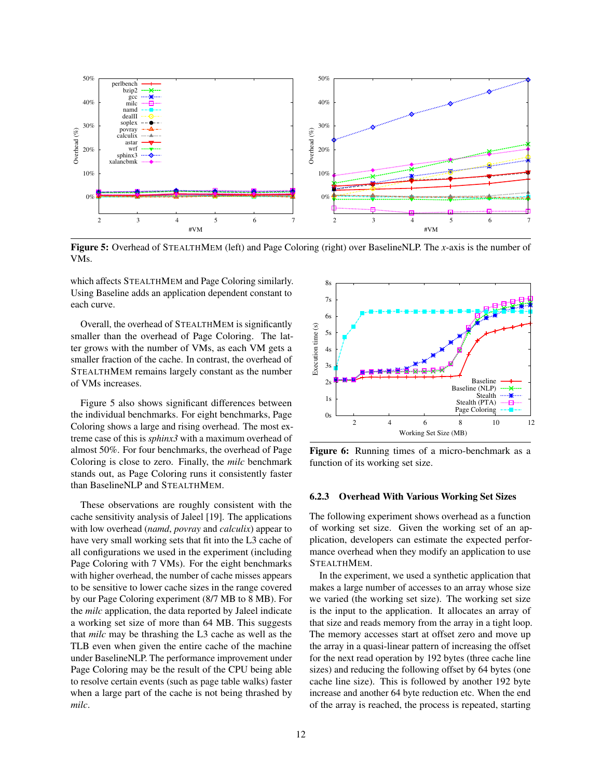

Figure 5: Overhead of STEALTHMEM (left) and Page Coloring (right) over BaselineNLP. The *x*-axis is the number of VMs.

which affects STEALTHMEM and Page Coloring similarly. Using Baseline adds an application dependent constant to each curve.

Overall, the overhead of STEALTHMEM is significantly smaller than the overhead of Page Coloring. The latter grows with the number of VMs, as each VM gets a smaller fraction of the cache. In contrast, the overhead of STEALTHMEM remains largely constant as the number of VMs increases.

Figure 5 also shows significant differences between the individual benchmarks. For eight benchmarks, Page Coloring shows a large and rising overhead. The most extreme case of this is *sphinx3* with a maximum overhead of almost 50%. For four benchmarks, the overhead of Page Coloring is close to zero. Finally, the *milc* benchmark stands out, as Page Coloring runs it consistently faster than BaselineNLP and STEALTHMEM.

These observations are roughly consistent with the cache sensitivity analysis of Jaleel [19]. The applications with low overhead (*namd*, *povray* and *calculix*) appear to have very small working sets that fit into the L3 cache of all configurations we used in the experiment (including Page Coloring with 7 VMs). For the eight benchmarks with higher overhead, the number of cache misses appears to be sensitive to lower cache sizes in the range covered by our Page Coloring experiment (8/7 MB to 8 MB). For the *milc* application, the data reported by Jaleel indicate a working set size of more than 64 MB. This suggests that *milc* may be thrashing the L3 cache as well as the TLB even when given the entire cache of the machine under BaselineNLP. The performance improvement under Page Coloring may be the result of the CPU being able to resolve certain events (such as page table walks) faster when a large part of the cache is not being thrashed by *milc*.



Figure 6: Running times of a micro-benchmark as a function of its working set size.

#### 6.2.3 Overhead With Various Working Set Sizes

The following experiment shows overhead as a function of working set size. Given the working set of an application, developers can estimate the expected performance overhead when they modify an application to use STEALTHMEM.

In the experiment, we used a synthetic application that makes a large number of accesses to an array whose size we varied (the working set size). The working set size is the input to the application. It allocates an array of that size and reads memory from the array in a tight loop. The memory accesses start at offset zero and move up the array in a quasi-linear pattern of increasing the offset for the next read operation by 192 bytes (three cache line sizes) and reducing the following offset by 64 bytes (one cache line size). This is followed by another 192 byte increase and another 64 byte reduction etc. When the end of the array is reached, the process is repeated, starting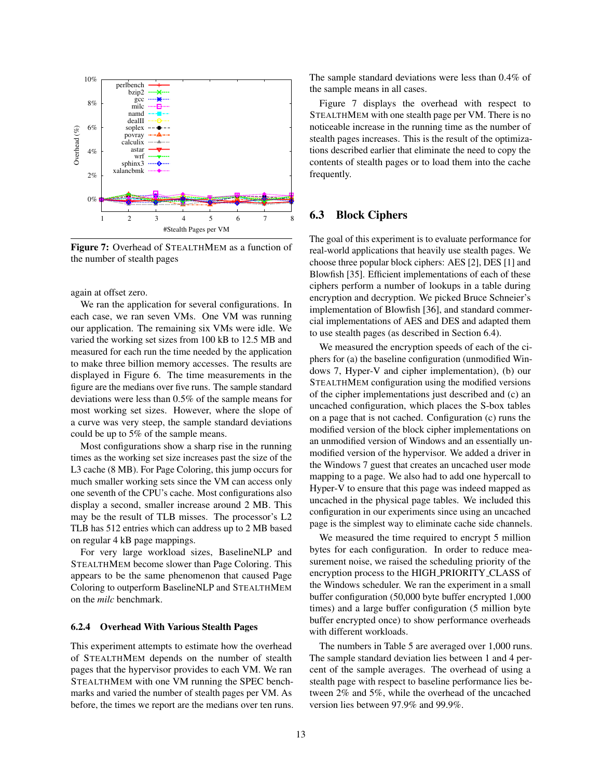

Figure 7: Overhead of STEALTHMEM as a function of the number of stealth pages

again at offset zero.

We ran the application for several configurations. In each case, we ran seven VMs. One VM was running our application. The remaining six VMs were idle. We varied the working set sizes from 100 kB to 12.5 MB and measured for each run the time needed by the application to make three billion memory accesses. The results are displayed in Figure 6. The time measurements in the figure are the medians over five runs. The sample standard deviations were less than 0.5% of the sample means for most working set sizes. However, where the slope of a curve was very steep, the sample standard deviations could be up to 5% of the sample means.

Most configurations show a sharp rise in the running times as the working set size increases past the size of the L3 cache (8 MB). For Page Coloring, this jump occurs for much smaller working sets since the VM can access only one seventh of the CPU's cache. Most configurations also display a second, smaller increase around 2 MB. This may be the result of TLB misses. The processor's L2 TLB has 512 entries which can address up to 2 MB based on regular 4 kB page mappings.

For very large workload sizes, BaselineNLP and STEALTHMEM become slower than Page Coloring. This appears to be the same phenomenon that caused Page Coloring to outperform BaselineNLP and STEALTHMEM on the *milc* benchmark.

#### 6.2.4 Overhead With Various Stealth Pages

This experiment attempts to estimate how the overhead of STEALTHMEM depends on the number of stealth pages that the hypervisor provides to each VM. We ran STEALTHMEM with one VM running the SPEC benchmarks and varied the number of stealth pages per VM. As before, the times we report are the medians over ten runs.

The sample standard deviations were less than 0.4% of the sample means in all cases.

Figure 7 displays the overhead with respect to STEALTHMEM with one stealth page per VM. There is no noticeable increase in the running time as the number of stealth pages increases. This is the result of the optimizations described earlier that eliminate the need to copy the contents of stealth pages or to load them into the cache frequently.

### 6.3 Block Ciphers

The goal of this experiment is to evaluate performance for real-world applications that heavily use stealth pages. We choose three popular block ciphers: AES [2], DES [1] and Blowfish [35]. Efficient implementations of each of these ciphers perform a number of lookups in a table during encryption and decryption. We picked Bruce Schneier's implementation of Blowfish [36], and standard commercial implementations of AES and DES and adapted them to use stealth pages (as described in Section 6.4).

We measured the encryption speeds of each of the ciphers for (a) the baseline configuration (unmodified Windows 7, Hyper-V and cipher implementation), (b) our STEALTHMEM configuration using the modified versions of the cipher implementations just described and (c) an uncached configuration, which places the S-box tables on a page that is not cached. Configuration (c) runs the modified version of the block cipher implementations on an unmodified version of Windows and an essentially unmodified version of the hypervisor. We added a driver in the Windows 7 guest that creates an uncached user mode mapping to a page. We also had to add one hypercall to Hyper-V to ensure that this page was indeed mapped as uncached in the physical page tables. We included this configuration in our experiments since using an uncached page is the simplest way to eliminate cache side channels.

We measured the time required to encrypt 5 million bytes for each configuration. In order to reduce measurement noise, we raised the scheduling priority of the encryption process to the HIGH PRIORITY CLASS of the Windows scheduler. We ran the experiment in a small buffer configuration (50,000 byte buffer encrypted 1,000 times) and a large buffer configuration (5 million byte buffer encrypted once) to show performance overheads with different workloads.

The numbers in Table 5 are averaged over 1,000 runs. The sample standard deviation lies between 1 and 4 percent of the sample averages. The overhead of using a stealth page with respect to baseline performance lies between 2% and 5%, while the overhead of the uncached version lies between 97.9% and 99.9%.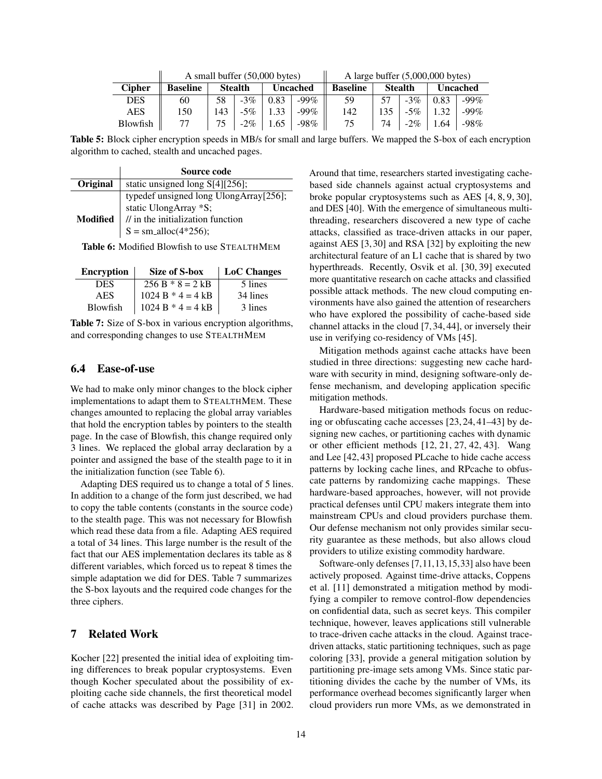|               | A small buffer $(50,000$ bytes) | A large buffer $(5,000,000$ bytes) |                |          |         |                 |                |        |                 |         |
|---------------|---------------------------------|------------------------------------|----------------|----------|---------|-----------------|----------------|--------|-----------------|---------|
| <b>Cipher</b> | <b>Baseline</b>                 |                                    | <b>Stealth</b> | Uncached |         | <b>Baseline</b> | <b>Stealth</b> |        | <b>Uncached</b> |         |
| DES           | 60                              | 58                                 | $-3\%$         | 0.83     | $-99\%$ | 59              |                | $-3\%$ | 0.83            | $-99\%$ |
| AES           | 150                             | 143                                | $-5\%$         | 1.33     | $-99\%$ | 142             | 135            | $-5\%$ | 1.32            | $-99\%$ |
| Blowfish      |                                 |                                    | $-2\%$         | 1.65     | -98%    | 75              | 74             | $-2\%$ | 1.64            | -98%    |

Table 5: Block cipher encryption speeds in MB/s for small and large buffers. We mapped the S-box of each encryption algorithm to cached, stealth and uncached pages.

|          | Source code                                                     |
|----------|-----------------------------------------------------------------|
| Original | static unsigned long S[4][256];                                 |
|          |                                                                 |
|          | typedef unsigned long UlongArray[256];<br>static UlongArray *S; |
| Modified |                                                                 |
|          | // in the initialization function<br>S = sm_alloc(4*256);       |

Table 6: Modified Blowfish to use STEALTHMEM

| <b>Encryption</b> | Size of S-box       | <b>LoC</b> Changes |
|-------------------|---------------------|--------------------|
| DES.              | $256 B * 8 = 2 kB$  | 5 lines            |
| AES               | $1024 B * 4 = 4 kB$ | 34 lines           |
| Blowfish          | $1024 B * 4 = 4 kB$ | 3 lines            |

Table 7: Size of S-box in various encryption algorithms, and corresponding changes to use STEALTHMEM

#### 6.4 Ease-of-use

We had to make only minor changes to the block cipher implementations to adapt them to STEALTHMEM. These changes amounted to replacing the global array variables that hold the encryption tables by pointers to the stealth page. In the case of Blowfish, this change required only 3 lines. We replaced the global array declaration by a pointer and assigned the base of the stealth page to it in the initialization function (see Table 6).

Adapting DES required us to change a total of 5 lines. In addition to a change of the form just described, we had to copy the table contents (constants in the source code) to the stealth page. This was not necessary for Blowfish which read these data from a file. Adapting AES required a total of 34 lines. This large number is the result of the fact that our AES implementation declares its table as 8 different variables, which forced us to repeat 8 times the simple adaptation we did for DES. Table 7 summarizes the S-box layouts and the required code changes for the three ciphers.

### 7 Related Work

Kocher [22] presented the initial idea of exploiting timing differences to break popular cryptosystems. Even though Kocher speculated about the possibility of exploiting cache side channels, the first theoretical model of cache attacks was described by Page [31] in 2002.

Around that time, researchers started investigating cachebased side channels against actual cryptosystems and broke popular cryptosystems such as AES [4, 8, 9, 30], and DES [40]. With the emergence of simultaneous multithreading, researchers discovered a new type of cache attacks, classified as trace-driven attacks in our paper, against AES [3, 30] and RSA [32] by exploiting the new architectural feature of an L1 cache that is shared by two hyperthreads. Recently, Osvik et al. [30, 39] executed more quantitative research on cache attacks and classified possible attack methods. The new cloud computing environments have also gained the attention of researchers who have explored the possibility of cache-based side channel attacks in the cloud [7, 34, 44], or inversely their use in verifying co-residency of VMs [45].

Mitigation methods against cache attacks have been studied in three directions: suggesting new cache hardware with security in mind, designing software-only defense mechanism, and developing application specific mitigation methods.

Hardware-based mitigation methods focus on reducing or obfuscating cache accesses [23, 24, 41–43] by designing new caches, or partitioning caches with dynamic or other efficient methods [12, 21, 27, 42, 43]. Wang and Lee [42, 43] proposed PLcache to hide cache access patterns by locking cache lines, and RPcache to obfuscate patterns by randomizing cache mappings. These hardware-based approaches, however, will not provide practical defenses until CPU makers integrate them into mainstream CPUs and cloud providers purchase them. Our defense mechanism not only provides similar security guarantee as these methods, but also allows cloud providers to utilize existing commodity hardware.

Software-only defenses [7,11,13,15,33] also have been actively proposed. Against time-drive attacks, Coppens et al. [11] demonstrated a mitigation method by modifying a compiler to remove control-flow dependencies on confidential data, such as secret keys. This compiler technique, however, leaves applications still vulnerable to trace-driven cache attacks in the cloud. Against tracedriven attacks, static partitioning techniques, such as page coloring [33], provide a general mitigation solution by partitioning pre-image sets among VMs. Since static partitioning divides the cache by the number of VMs, its performance overhead becomes significantly larger when cloud providers run more VMs, as we demonstrated in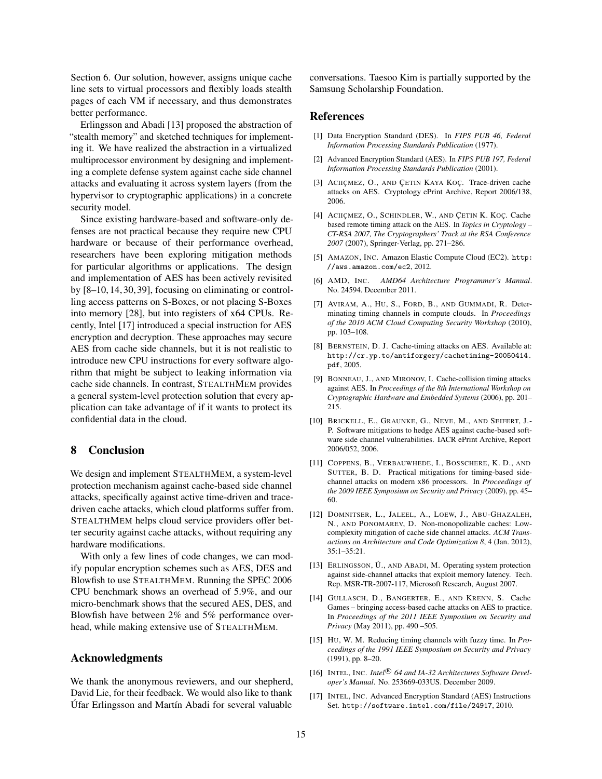Section 6. Our solution, however, assigns unique cache line sets to virtual processors and flexibly loads stealth pages of each VM if necessary, and thus demonstrates better performance.

Erlingsson and Abadi [13] proposed the abstraction of "stealth memory" and sketched techniques for implementing it. We have realized the abstraction in a virtualized multiprocessor environment by designing and implementing a complete defense system against cache side channel attacks and evaluating it across system layers (from the hypervisor to cryptographic applications) in a concrete security model.

Since existing hardware-based and software-only defenses are not practical because they require new CPU hardware or because of their performance overhead, researchers have been exploring mitigation methods for particular algorithms or applications. The design and implementation of AES has been actively revisited by [8–10, 14, 30, 39], focusing on eliminating or controlling access patterns on S-Boxes, or not placing S-Boxes into memory [28], but into registers of x64 CPUs. Recently, Intel [17] introduced a special instruction for AES encryption and decryption. These approaches may secure AES from cache side channels, but it is not realistic to introduce new CPU instructions for every software algorithm that might be subject to leaking information via cache side channels. In contrast, STEALTHMEM provides a general system-level protection solution that every application can take advantage of if it wants to protect its confidential data in the cloud.

### 8 Conclusion

We design and implement STEALTHMEM, a system-level protection mechanism against cache-based side channel attacks, specifically against active time-driven and tracedriven cache attacks, which cloud platforms suffer from. STEALTHMEM helps cloud service providers offer better security against cache attacks, without requiring any hardware modifications.

With only a few lines of code changes, we can modify popular encryption schemes such as AES, DES and Blowfish to use STEALTHMEM. Running the SPEC 2006 CPU benchmark shows an overhead of 5.9%, and our micro-benchmark shows that the secured AES, DES, and Blowfish have between 2% and 5% performance overhead, while making extensive use of STEALTHMEM.

#### Acknowledgments

We thank the anonymous reviewers, and our shepherd, David Lie, for their feedback. We would also like to thank Úfar Erlingsson and Martín Abadi for several valuable

conversations. Taesoo Kim is partially supported by the Samsung Scholarship Foundation.

### References

- [1] Data Encryption Standard (DES). In *FIPS PUB 46, Federal Information Processing Standards Publication* (1977).
- [2] Advanced Encryption Standard (AES). In *FIPS PUB 197, Federal Information Processing Standards Publication* (2001).
- [3] ACIIÇMEZ, O., AND ÇETIN KAYA KOÇ. Trace-driven cache attacks on AES. Cryptology ePrint Archive, Report 2006/138, 2006.
- [4] ACIIÇMEZ, O., SCHINDLER, W., AND ÇETIN K. KOÇ. Cache based remote timing attack on the AES. In *Topics in Cryptology – CT-RSA 2007, The Cryptographers' Track at the RSA Conference 2007* (2007), Springer-Verlag, pp. 271–286.
- [5] AMAZON, INC. Amazon Elastic Compute Cloud (EC2). http: //aws.amazon.com/ec2, 2012.
- [6] AMD, INC. *AMD64 Architecture Programmer's Manual*. No. 24594. December 2011.
- [7] AVIRAM, A., HU, S., FORD, B., AND GUMMADI, R. Determinating timing channels in compute clouds. In *Proceedings of the 2010 ACM Cloud Computing Security Workshop* (2010), pp. 103–108.
- [8] BERNSTEIN, D. J. Cache-timing attacks on AES. Available at: http://cr.yp.to/antiforgery/cachetiming-20050414. pdf, 2005.
- [9] BONNEAU, J., AND MIRONOV, I. Cache-collision timing attacks against AES. In *Proceedings of the 8th International Workshop on Cryptographic Hardware and Embedded Systems* (2006), pp. 201– 215.
- [10] BRICKELL, E., GRAUNKE, G., NEVE, M., AND SEIFERT, J.-P. Software mitigations to hedge AES against cache-based software side channel vulnerabilities. IACR ePrint Archive, Report 2006/052, 2006.
- [11] COPPENS, B., VERBAUWHEDE, I., BOSSCHERE, K. D., AND SUTTER, B. D. Practical mitigations for timing-based sidechannel attacks on modern x86 processors. In *Proceedings of the 2009 IEEE Symposium on Security and Privacy* (2009), pp. 45– 60.
- [12] DOMNITSER, L., JALEEL, A., LOEW, J., ABU-GHAZALEH, N., AND PONOMAREV, D. Non-monopolizable caches: Lowcomplexity mitigation of cache side channel attacks. *ACM Transactions on Architecture and Code Optimization 8*, 4 (Jan. 2012),  $35:1 - 35:21$ .
- [13] ERLINGSSON, Ú., AND ABADI, M. Operating system protection against side-channel attacks that exploit memory latency. Tech. Rep. MSR-TR-2007-117, Microsoft Research, August 2007.
- [14] GULLASCH, D., BANGERTER, E., AND KRENN, S. Cache Games – bringing access-based cache attacks on AES to practice. In *Proceedings of the 2011 IEEE Symposium on Security and Privacy* (May 2011), pp. 490 –505.
- [15] HU, W. M. Reducing timing channels with fuzzy time. In *Proceedings of the 1991 IEEE Symposium on Security and Privacy* (1991), pp. 8–20.
- [16] INTEL, INC. Intel<sup>®</sup> 64 and IA-32 Architectures Software Devel*oper's Manual*. No. 253669-033US. December 2009.
- [17] INTEL, INC. Advanced Encryption Standard (AES) Instructions Set. http://software.intel.com/file/24917, 2010.